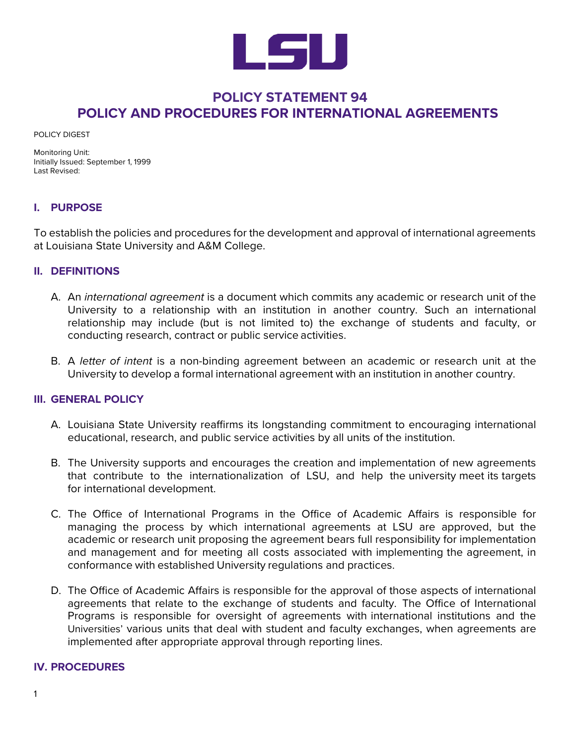

# **POLICY STATEMENT 94 POLICY AND PROCEDURES FOR INTERNATIONAL AGREEMENTS**

POLICY DIGEST

Monitoring Unit: Initially Issued: September 1, 1999 Last Revised:

## **I. PURPOSE**

To establish the policies and procedures for the development and approval of international agreements at Louisiana State University and A&M College.

#### **II. DEFINITIONS**

- A. An *international agreement* is a document which commits any academic or research unit of the University to a relationship with an institution in another country. Such an international relationship may include (but is not limited to) the exchange of students and faculty, or conducting research, contract or public service activities.
- B. A *letter of intent* is a non-binding agreement between an academic or research unit at the University to develop a formal international agreement with an institution in another country.

#### **III. GENERAL POLICY**

- A. Louisiana State University reaffirms its longstanding commitment to encouraging international educational, research, and public service activities by all units of the institution.
- B. The University supports and encourages the creation and implementation of new agreements that contribute to the internationalization of LSU, and help the university meet its targets for international development.
- C. The Office of International Programs in the Office of Academic Affairs is responsible for managing the process by which international agreements at LSU are approved, but the academic or research unit proposing the agreement bears full responsibility for implementation and management and for meeting all costs associated with implementing the agreement, in conformance with established University regulations and practices.
- D. The Office of Academic Affairs is responsible for the approval of those aspects of international agreements that relate to the exchange of students and faculty. The Office of International Programs is responsible for oversight of agreements with international institutions and the Universities' various units that deal with student and faculty exchanges, when agreements are implemented after appropriate approval through reporting lines.

#### **IV. PROCEDURES**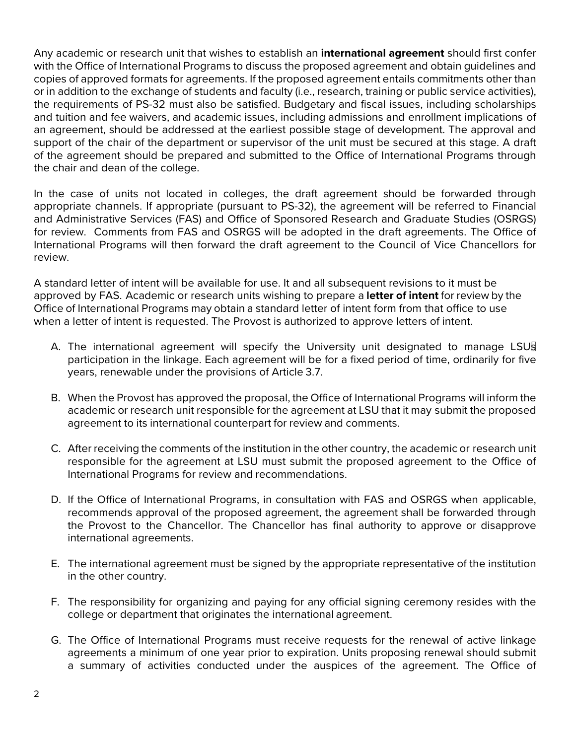Any academic or research unit that wishes to establish an **international agreement** should first confer with the Office of International Programs to discuss the proposed agreement and obtain guidelines and copies of approved formats for agreements. If the proposed agreement entails commitments other than or in addition to the exchange of students and faculty (i.e., research, training or public service activities), the requirements of PS-32 must also be satisfied. Budgetary and fiscal issues, including scholarships and tuition and fee waivers, and academic issues, including admissions and enrollment implications of an agreement, should be addressed at the earliest possible stage of development. The approval and support of the chair of the department or supervisor of the unit must be secured at this stage. A draft of the agreement should be prepared and submitted to the Office of International Programs through the chair and dean of the college.

In the case of units not located in colleges, the draft agreement should be forwarded through appropriate channels. If appropriate (pursuant to PS-32), the agreement will be referred to Financial and Administrative Services (FAS) and Office of Sponsored Research and Graduate Studies (OSRGS) for review. Comments from FAS and OSRGS will be adopted in the draft agreements. The Office of International Programs will then forward the draft agreement to the Council of Vice Chancellors for review.

A standard letter of intent will be available for use. It and all subsequent revisions to it must be approved by FAS. Academic or research units wishing to prepare a **letter of intent** for review by the Office of International Programs may obtain a standard letter of intent form from that office to use when a letter of intent is requested. The Provost is authorized to approve letters of intent.

- A. The international agreement will specify the University unit designated to manage LSUs participation in the linkage. Each agreement will be for a fixed period of time, ordinarily for five years, renewable under the provisions of Article 3.7.
- B. When the Provost has approved the proposal, the Office of International Programs will inform the academic or research unit responsible for the agreement at LSU that it may submit the proposed agreement to its international counterpart for review and comments.
- C. After receiving the comments of the institution in the other country, the academic or research unit responsible for the agreement at LSU must submit the proposed agreement to the Office of International Programs for review and recommendations.
- D. If the Office of International Programs, in consultation with FAS and OSRGS when applicable, recommends approval of the proposed agreement, the agreement shall be forwarded through the Provost to the Chancellor. The Chancellor has final authority to approve or disapprove international agreements.
- E. The international agreement must be signed by the appropriate representative of the institution in the other country.
- F. The responsibility for organizing and paying for any official signing ceremony resides with the college or department that originates the international agreement.
- G. The Office of International Programs must receive requests for the renewal of active linkage agreements a minimum of one year prior to expiration. Units proposing renewal should submit a summary of activities conducted under the auspices of the agreement. The Office of